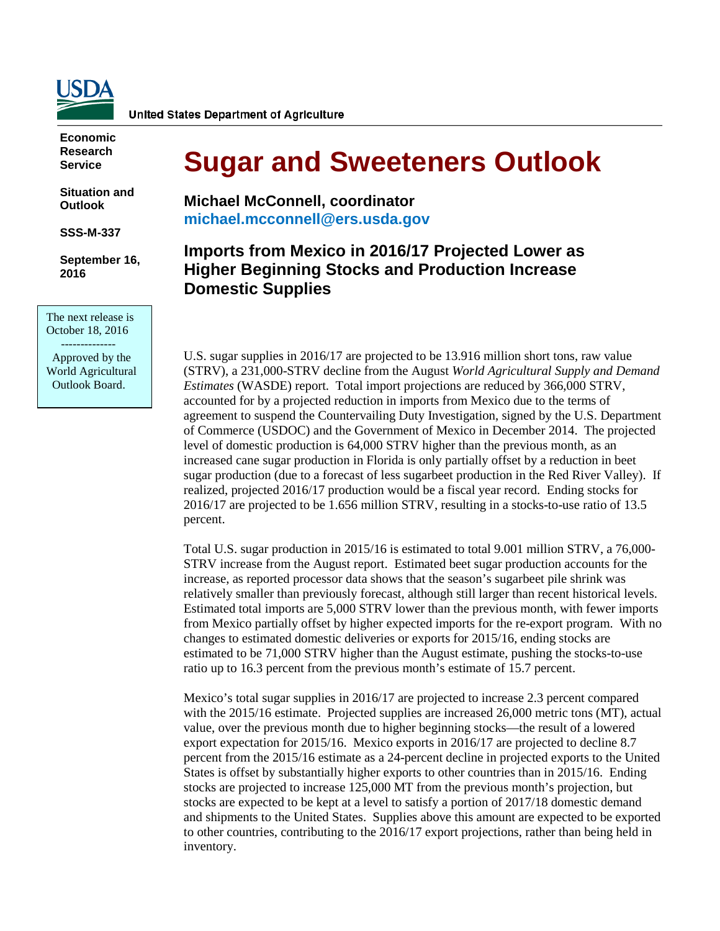

**United States Department of Agriculture** 

**Economic Research Service**

**Situation and Outlook**

**SSS-M-337**

**September 16, 2016**

The next release is October 18, 2016 --------------

 Approved by the World Agricultural Outlook Board.

# **Sugar and Sweeteners Outlook**

**Michael McConnell, coordinator [michael.mcconnell@ers.usda.gov](mailto:smriche@ers.usda.gov)**

## **Imports from Mexico in 2016/17 Projected Lower as Higher Beginning Stocks and Production Increase Domestic Supplies**

U.S. sugar supplies in 2016/17 are projected to be 13.916 million short tons, raw value (STRV), a 231,000-STRV decline from the August *World Agricultural Supply and Demand Estimates* (WASDE) report. Total import projections are reduced by 366,000 STRV, accounted for by a projected reduction in imports from Mexico due to the terms of agreement to suspend the Countervailing Duty Investigation, signed by the U.S. Department of Commerce (USDOC) and the Government of Mexico in December 2014. The projected level of domestic production is 64,000 STRV higher than the previous month, as an increased cane sugar production in Florida is only partially offset by a reduction in beet sugar production (due to a forecast of less sugarbeet production in the Red River Valley). If realized, projected 2016/17 production would be a fiscal year record. Ending stocks for 2016/17 are projected to be 1.656 million STRV, resulting in a stocks-to-use ratio of 13.5 percent.

Total U.S. sugar production in 2015/16 is estimated to total 9.001 million STRV, a 76,000- STRV increase from the August report. Estimated beet sugar production accounts for the increase, as reported processor data shows that the season's sugarbeet pile shrink was relatively smaller than previously forecast, although still larger than recent historical levels. Estimated total imports are 5,000 STRV lower than the previous month, with fewer imports from Mexico partially offset by higher expected imports for the re-export program. With no changes to estimated domestic deliveries or exports for 2015/16, ending stocks are estimated to be 71,000 STRV higher than the August estimate, pushing the stocks-to-use ratio up to 16.3 percent from the previous month's estimate of 15.7 percent.

Mexico's total sugar supplies in 2016/17 are projected to increase 2.3 percent compared with the 2015/16 estimate. Projected supplies are increased 26,000 metric tons (MT), actual value, over the previous month due to higher beginning stocks—the result of a lowered export expectation for 2015/16. Mexico exports in 2016/17 are projected to decline 8.7 percent from the 2015/16 estimate as a 24-percent decline in projected exports to the United States is offset by substantially higher exports to other countries than in 2015/16. Ending stocks are projected to increase 125,000 MT from the previous month's projection, but stocks are expected to be kept at a level to satisfy a portion of 2017/18 domestic demand and shipments to the United States. Supplies above this amount are expected to be exported to other countries, contributing to the 2016/17 export projections, rather than being held in inventory.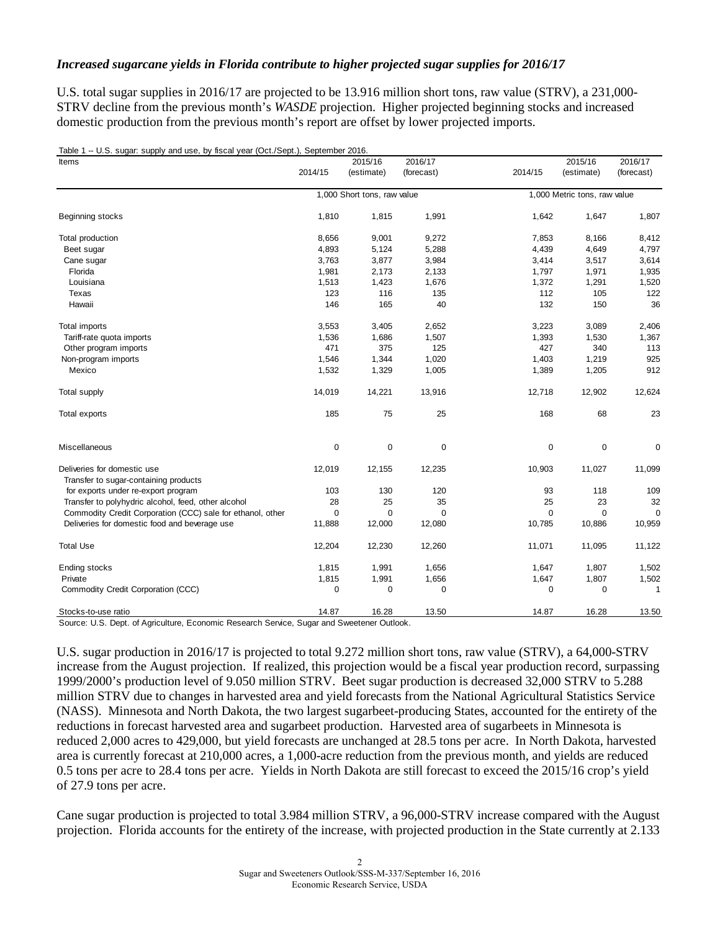#### *Increased sugarcane yields in Florida contribute to higher projected sugar supplies for 2016/17*

U.S. total sugar supplies in 2016/17 are projected to be 13.916 million short tons, raw value (STRV), a 231,000-STRV decline from the previous month's *WASDE* projection. Higher projected beginning stocks and increased domestic production from the previous month's report are offset by lower projected imports.

| Items                                                      |             | 2015/16                     | 2016/17     |             | 2015/16                      | 2016/17      |
|------------------------------------------------------------|-------------|-----------------------------|-------------|-------------|------------------------------|--------------|
|                                                            | 2014/15     | (estimate)                  | (forecast)  | 2014/15     | (estimate)                   | (forecast)   |
|                                                            |             | 1,000 Short tons, raw value |             |             | 1,000 Metric tons, raw value |              |
| Beginning stocks                                           | 1,810       | 1,815                       | 1,991       | 1,642       | 1,647                        | 1,807        |
| Total production                                           | 8,656       | 9,001                       | 9,272       | 7,853       | 8,166                        | 8,412        |
| Beet sugar                                                 | 4,893       | 5,124                       | 5,288       | 4,439       | 4,649                        | 4,797        |
| Cane sugar                                                 | 3,763       | 3,877                       | 3,984       | 3,414       | 3,517                        | 3,614        |
| Florida                                                    | 1,981       | 2,173                       | 2,133       | 1,797       | 1,971                        | 1,935        |
| Louisiana                                                  | 1,513       | 1,423                       | 1,676       | 1,372       | 1,291                        | 1,520        |
| Texas                                                      | 123         | 116                         | 135         | 112         | 105                          | 122          |
| Hawaii                                                     | 146         | 165                         | 40          | 132         | 150                          | 36           |
| <b>Total imports</b>                                       | 3,553       | 3,405                       | 2,652       | 3,223       | 3,089                        | 2,406        |
| Tariff-rate quota imports                                  | 1,536       | 1,686                       | 1,507       | 1,393       | 1,530                        | 1,367        |
| Other program imports                                      | 471         | 375                         | 125         | 427         | 340                          | 113          |
| Non-program imports                                        | 1,546       | 1,344                       | 1,020       | 1,403       | 1,219                        | 925          |
| Mexico                                                     | 1,532       | 1,329                       | 1,005       | 1,389       | 1,205                        | 912          |
| Total supply                                               | 14,019      | 14,221                      | 13,916      | 12,718      | 12,902                       | 12,624       |
| Total exports                                              | 185         | 75                          | 25          | 168         | 68                           | 23           |
| Miscellaneous                                              | $\mathbf 0$ | 0                           | 0           | 0           | 0                            | 0            |
| Deliveries for domestic use                                | 12,019      | 12,155                      | 12,235      | 10,903      | 11,027                       | 11,099       |
| Transfer to sugar-containing products                      |             |                             |             |             |                              |              |
| for exports under re-export program                        | 103         | 130                         | 120         | 93          | 118                          | 109          |
| Transfer to polyhydric alcohol, feed, other alcohol        | 28          | 25                          | 35          | 25          | 23                           | 32           |
| Commodity Credit Corporation (CCC) sale for ethanol, other | $\mathbf 0$ | $\mathbf 0$                 | $\mathbf 0$ | $\mathbf 0$ | $\mathbf 0$                  | $\mathbf 0$  |
| Deliveries for domestic food and beverage use              | 11,888      | 12,000                      | 12,080      | 10,785      | 10,886                       | 10,959       |
| <b>Total Use</b>                                           | 12,204      | 12,230                      | 12,260      | 11,071      | 11,095                       | 11,122       |
| Ending stocks                                              | 1,815       | 1,991                       | 1,656       | 1,647       | 1,807                        | 1,502        |
| Private                                                    | 1,815       | 1,991                       | 1,656       | 1,647       | 1,807                        | 1,502        |
| Commodity Credit Corporation (CCC)                         | $\mathbf 0$ | $\mathbf 0$                 | $\mathbf 0$ | 0           | $\mathbf 0$                  | $\mathbf{1}$ |
| Stocks-to-use ratio                                        | 14.87       | 16.28                       | 13.50       | 14.87       | 16.28                        | 13.50        |

Source: U.S. Dept. of Agriculture, Economic Research Service, Sugar and Sweetener Outlook.

U.S. sugar production in 2016/17 is projected to total 9.272 million short tons, raw value (STRV), a 64,000-STRV increase from the August projection. If realized, this projection would be a fiscal year production record, surpassing 1999/2000's production level of 9.050 million STRV. Beet sugar production is decreased 32,000 STRV to 5.288 million STRV due to changes in harvested area and yield forecasts from the National Agricultural Statistics Service (NASS). Minnesota and North Dakota, the two largest sugarbeet-producing States, accounted for the entirety of the reductions in forecast harvested area and sugarbeet production. Harvested area of sugarbeets in Minnesota is reduced 2,000 acres to 429,000, but yield forecasts are unchanged at 28.5 tons per acre. In North Dakota, harvested area is currently forecast at 210,000 acres, a 1,000-acre reduction from the previous month, and yields are reduced 0.5 tons per acre to 28.4 tons per acre. Yields in North Dakota are still forecast to exceed the 2015/16 crop's yield of 27.9 tons per acre.

Cane sugar production is projected to total 3.984 million STRV, a 96,000-STRV increase compared with the August projection. Florida accounts for the entirety of the increase, with projected production in the State currently at 2.133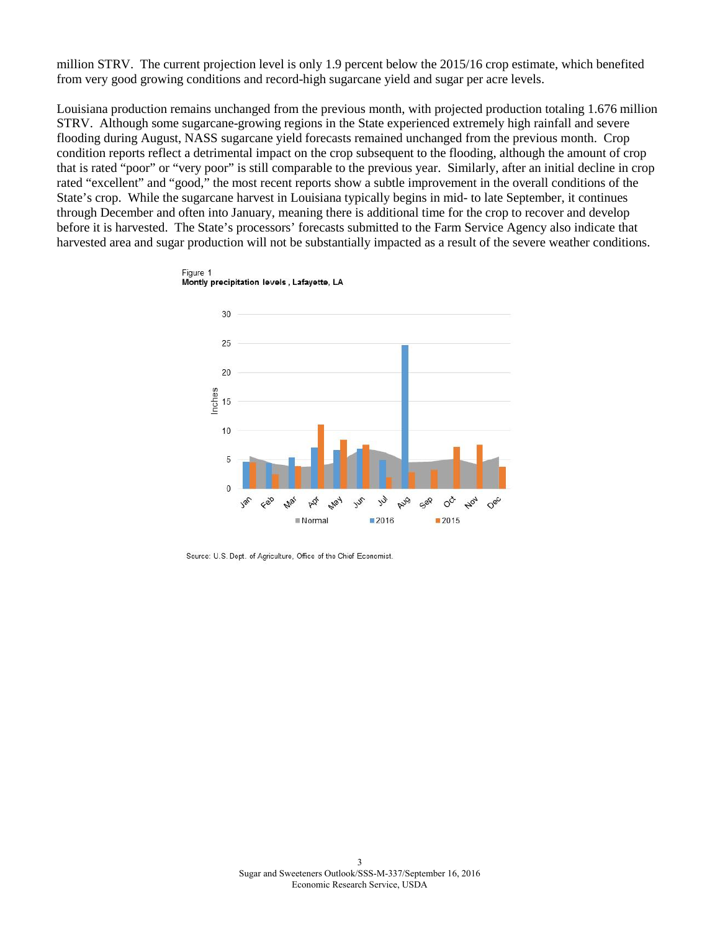million STRV. The current projection level is only 1.9 percent below the 2015/16 crop estimate, which benefited from very good growing conditions and record-high sugarcane yield and sugar per acre levels.

Louisiana production remains unchanged from the previous month, with projected production totaling 1.676 million STRV. Although some sugarcane-growing regions in the State experienced extremely high rainfall and severe flooding during August, NASS sugarcane yield forecasts remained unchanged from the previous month. Crop condition reports reflect a detrimental impact on the crop subsequent to the flooding, although the amount of crop that is rated "poor" or "very poor" is still comparable to the previous year. Similarly, after an initial decline in crop rated "excellent" and "good," the most recent reports show a subtle improvement in the overall conditions of the State's crop. While the sugarcane harvest in Louisiana typically begins in mid- to late September, it continues through December and often into January, meaning there is additional time for the crop to recover and develop before it is harvested. The State's processors' forecasts submitted to the Farm Service Agency also indicate that harvested area and sugar production will not be substantially impacted as a result of the severe weather conditions.



Source: U.S. Dept. of Agriculture, Office of the Chief Economist.

Figure 1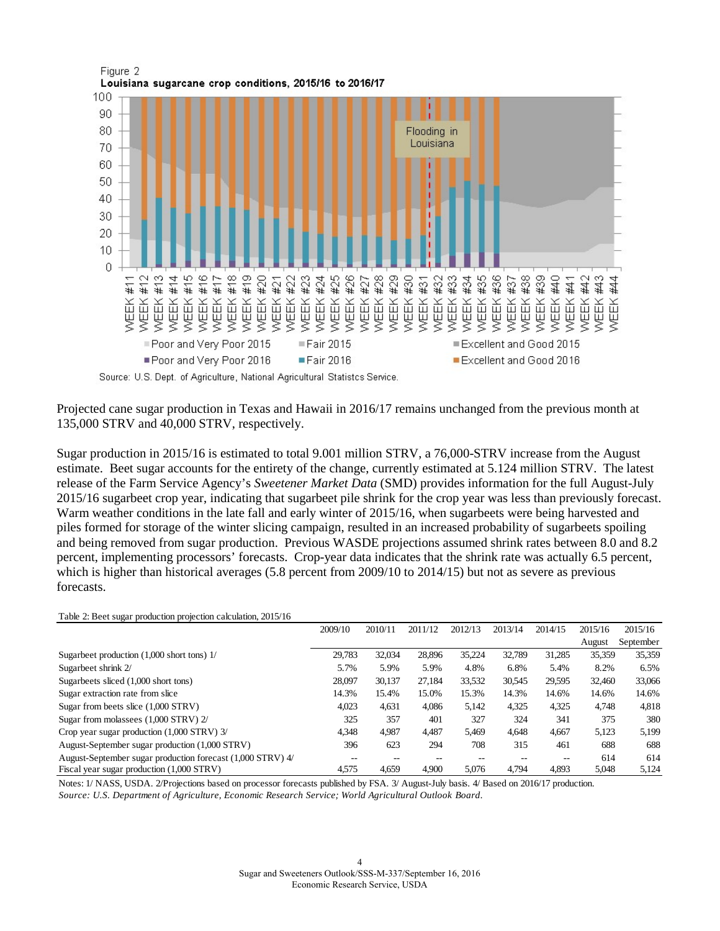

Projected cane sugar production in Texas and Hawaii in 2016/17 remains unchanged from the previous month at 135,000 STRV and 40,000 STRV, respectively.

Sugar production in 2015/16 is estimated to total 9.001 million STRV, a 76,000-STRV increase from the August estimate. Beet sugar accounts for the entirety of the change, currently estimated at 5.124 million STRV. The latest release of the Farm Service Agency's *Sweetener Market Data* (SMD) provides information for the full August-July 2015/16 sugarbeet crop year, indicating that sugarbeet pile shrink for the crop year was less than previously forecast. Warm weather conditions in the late fall and early winter of 2015/16, when sugarbeets were being harvested and piles formed for storage of the winter slicing campaign, resulted in an increased probability of sugarbeets spoiling and being removed from sugar production. Previous WASDE projections assumed shrink rates between 8.0 and 8.2 percent, implementing processors' forecasts. Crop-year data indicates that the shrink rate was actually 6.5 percent, which is higher than historical averages (5.8 percent from 2009/10 to 2014/15) but not as severe as previous forecasts.

#### Table 2: Beet sugar production projection calculation, 2015/16

|                                                            | 2009/10 | 2010/11 | 2011/12 | 2012/13 | 2013/14 | 2014/15 | 2015/16 | 2015/16   |
|------------------------------------------------------------|---------|---------|---------|---------|---------|---------|---------|-----------|
|                                                            |         |         |         |         |         |         | August  | September |
| Sugarbeet production $(1,000$ short tons) $1/$             | 29.783  | 32,034  | 28,896  | 35.224  | 32.789  | 31.285  | 35,359  | 35,359    |
| Sugarbeet shrink 2/                                        | 5.7%    | 5.9%    | 5.9%    | 4.8%    | 6.8%    | 5.4%    | 8.2%    | 6.5%      |
| Sugarbeets sliced (1,000 short tons)                       | 28.097  | 30,137  | 27.184  | 33,532  | 30.545  | 29,595  | 32,460  | 33,066    |
| Sugar extraction rate from slice                           | 14.3%   | 15.4%   | 15.0%   | 15.3%   | 14.3%   | 14.6%   | 14.6%   | 14.6%     |
| Sugar from beets slice (1,000 STRV)                        | 4.023   | 4,631   | 4,086   | 5,142   | 4.325   | 4,325   | 4,748   | 4,818     |
| Sugar from molassees (1,000 STRV) 2/                       | 325     | 357     | 401     | 327     | 324     | 341     | 375     | 380       |
| Crop year sugar production (1,000 STRV) 3/                 | 4.348   | 4.987   | 4,487   | 5,469   | 4.648   | 4,667   | 5,123   | 5,199     |
| August-September sugar production (1,000 STRV)             | 396     | 623     | 294     | 708     | 315     | 461     | 688     | 688       |
| August-September sugar production forecast (1,000 STRV) 4/ | --      |         |         |         |         | --      | 614     | 614       |
| Fiscal year sugar production (1,000 STRV)                  | 4,575   | 4.659   | 4.900   | 5.076   | 4.794   | 4.893   | 5,048   | 5,124     |

*Source: U.S. Department of Agriculture, Economic Research Service; World Agricultural Outlook Board.* Notes: 1/ NASS, USDA. 2/Projections based on processor forecasts published by FSA. 3/ August-July basis. 4/ Based on 2016/17 production.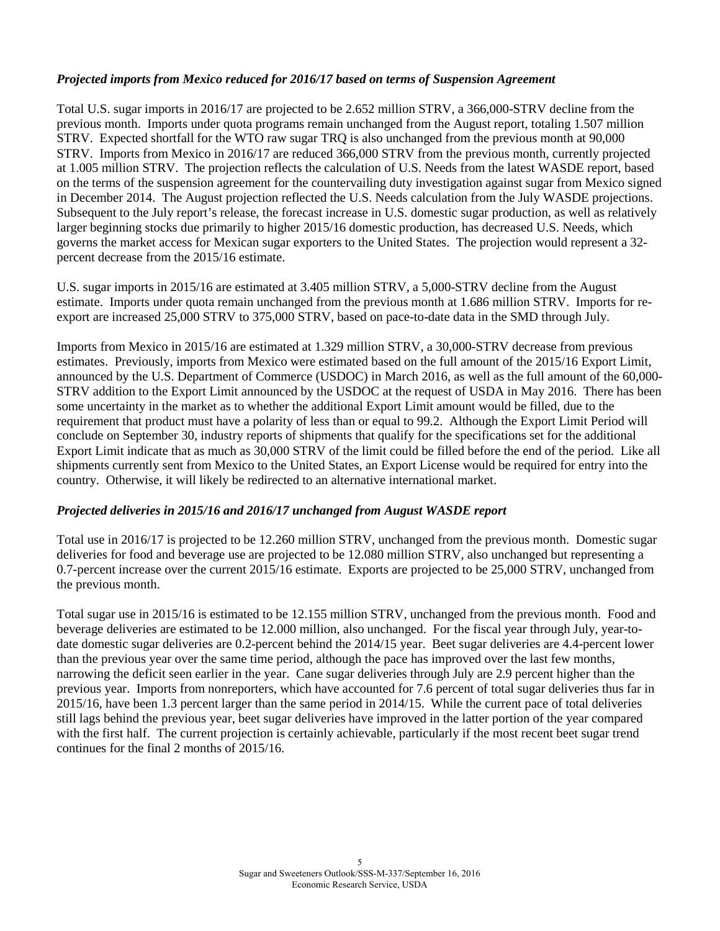#### *Projected imports from Mexico reduced for 2016/17 based on terms of Suspension Agreement*

Total U.S. sugar imports in 2016/17 are projected to be 2.652 million STRV, a 366,000-STRV decline from the previous month. Imports under quota programs remain unchanged from the August report, totaling 1.507 million STRV. Expected shortfall for the WTO raw sugar TRQ is also unchanged from the previous month at 90,000 STRV. Imports from Mexico in 2016/17 are reduced 366,000 STRV from the previous month, currently projected at 1.005 million STRV. The projection reflects the calculation of U.S. Needs from the latest WASDE report, based on the terms of the suspension agreement for the countervailing duty investigation against sugar from Mexico signed in December 2014. The August projection reflected the U.S. Needs calculation from the July WASDE projections. Subsequent to the July report's release, the forecast increase in U.S. domestic sugar production, as well as relatively larger beginning stocks due primarily to higher 2015/16 domestic production, has decreased U.S. Needs, which governs the market access for Mexican sugar exporters to the United States. The projection would represent a 32 percent decrease from the 2015/16 estimate.

U.S. sugar imports in 2015/16 are estimated at 3.405 million STRV, a 5,000-STRV decline from the August estimate. Imports under quota remain unchanged from the previous month at 1.686 million STRV. Imports for reexport are increased 25,000 STRV to 375,000 STRV, based on pace-to-date data in the SMD through July.

Imports from Mexico in 2015/16 are estimated at 1.329 million STRV, a 30,000-STRV decrease from previous estimates. Previously, imports from Mexico were estimated based on the full amount of the 2015/16 Export Limit, announced by the U.S. Department of Commerce (USDOC) in March 2016, as well as the full amount of the 60,000- STRV addition to the Export Limit announced by the USDOC at the request of USDA in May 2016. There has been some uncertainty in the market as to whether the additional Export Limit amount would be filled, due to the requirement that product must have a polarity of less than or equal to 99.2. Although the Export Limit Period will conclude on September 30, industry reports of shipments that qualify for the specifications set for the additional Export Limit indicate that as much as 30,000 STRV of the limit could be filled before the end of the period. Like all shipments currently sent from Mexico to the United States, an Export License would be required for entry into the country. Otherwise, it will likely be redirected to an alternative international market.

#### *Projected deliveries in 2015/16 and 2016/17 unchanged from August WASDE report*

Total use in 2016/17 is projected to be 12.260 million STRV, unchanged from the previous month. Domestic sugar deliveries for food and beverage use are projected to be 12.080 million STRV, also unchanged but representing a 0.7-percent increase over the current 2015/16 estimate. Exports are projected to be 25,000 STRV, unchanged from the previous month.

Total sugar use in 2015/16 is estimated to be 12.155 million STRV, unchanged from the previous month. Food and beverage deliveries are estimated to be 12.000 million, also unchanged. For the fiscal year through July, year-todate domestic sugar deliveries are 0.2-percent behind the 2014/15 year. Beet sugar deliveries are 4.4-percent lower than the previous year over the same time period, although the pace has improved over the last few months, narrowing the deficit seen earlier in the year. Cane sugar deliveries through July are 2.9 percent higher than the previous year. Imports from nonreporters, which have accounted for 7.6 percent of total sugar deliveries thus far in 2015/16, have been 1.3 percent larger than the same period in 2014/15. While the current pace of total deliveries still lags behind the previous year, beet sugar deliveries have improved in the latter portion of the year compared with the first half. The current projection is certainly achievable, particularly if the most recent beet sugar trend continues for the final 2 months of 2015/16.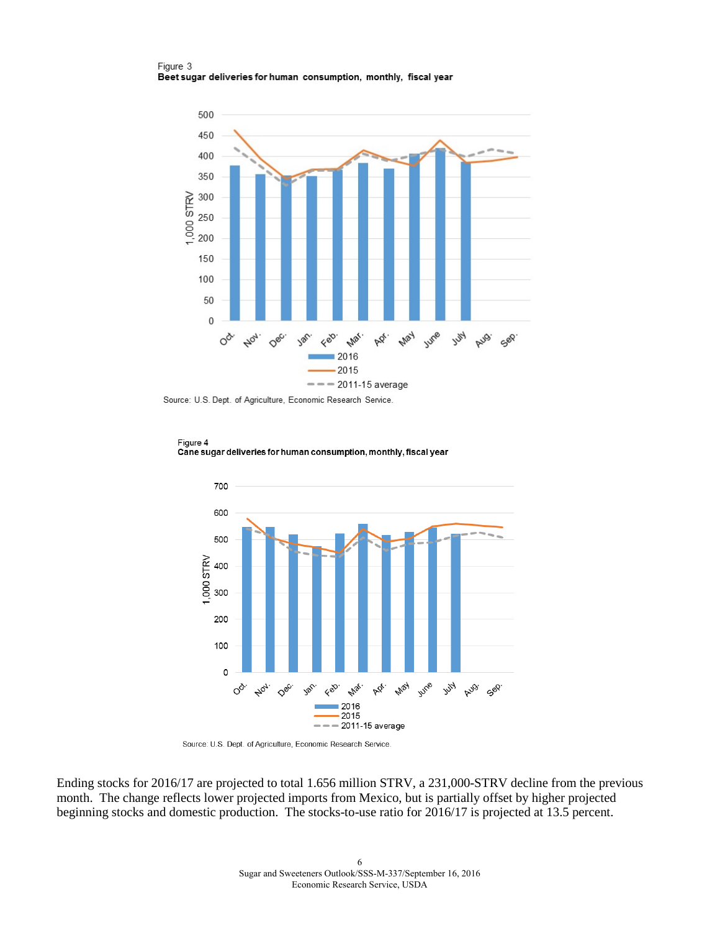Figure 3 Beet sugar deliveries for human consumption, monthly, fiscal year



Source: U.S. Dept. of Agriculture, Economic Research Service.



Ending stocks for 2016/17 are projected to total 1.656 million STRV, a 231,000-STRV decline from the previous month. The change reflects lower projected imports from Mexico, but is partially offset by higher projected beginning stocks and domestic production. The stocks-to-use ratio for 2016/17 is projected at 13.5 percent.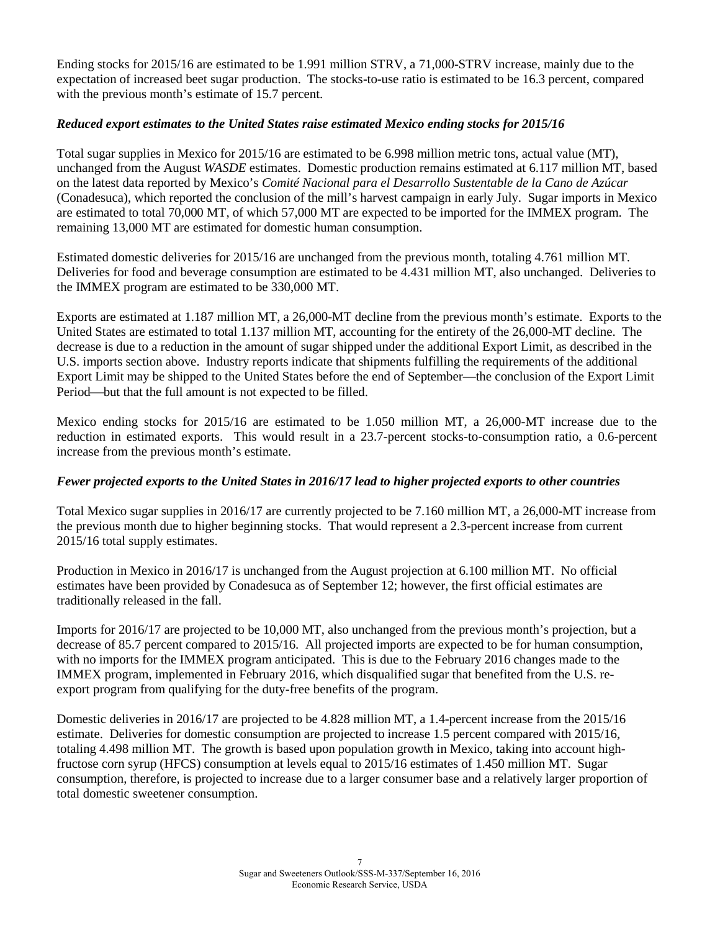Ending stocks for 2015/16 are estimated to be 1.991 million STRV, a 71,000-STRV increase, mainly due to the expectation of increased beet sugar production. The stocks-to-use ratio is estimated to be 16.3 percent, compared with the previous month's estimate of 15.7 percent.

#### *Reduced export estimates to the United States raise estimated Mexico ending stocks for 2015/16*

Total sugar supplies in Mexico for 2015/16 are estimated to be 6.998 million metric tons, actual value (MT), unchanged from the August *WASDE* estimates. Domestic production remains estimated at 6.117 million MT, based on the latest data reported by Mexico's *Comité Nacional para el Desarrollo Sustentable de la Cano de Azúcar* (Conadesuca), which reported the conclusion of the mill's harvest campaign in early July. Sugar imports in Mexico are estimated to total 70,000 MT, of which 57,000 MT are expected to be imported for the IMMEX program. The remaining 13,000 MT are estimated for domestic human consumption.

Estimated domestic deliveries for 2015/16 are unchanged from the previous month, totaling 4.761 million MT. Deliveries for food and beverage consumption are estimated to be 4.431 million MT, also unchanged. Deliveries to the IMMEX program are estimated to be 330,000 MT.

Exports are estimated at 1.187 million MT, a 26,000-MT decline from the previous month's estimate. Exports to the United States are estimated to total 1.137 million MT, accounting for the entirety of the 26,000-MT decline. The decrease is due to a reduction in the amount of sugar shipped under the additional Export Limit, as described in the U.S. imports section above. Industry reports indicate that shipments fulfilling the requirements of the additional Export Limit may be shipped to the United States before the end of September—the conclusion of the Export Limit Period—but that the full amount is not expected to be filled.

Mexico ending stocks for 2015/16 are estimated to be 1.050 million MT, a 26,000-MT increase due to the reduction in estimated exports. This would result in a 23.7-percent stocks-to-consumption ratio, a 0.6-percent increase from the previous month's estimate.

#### *Fewer projected exports to the United States in 2016/17 lead to higher projected exports to other countries*

Total Mexico sugar supplies in 2016/17 are currently projected to be 7.160 million MT, a 26,000-MT increase from the previous month due to higher beginning stocks. That would represent a 2.3-percent increase from current 2015/16 total supply estimates.

Production in Mexico in 2016/17 is unchanged from the August projection at 6.100 million MT. No official estimates have been provided by Conadesuca as of September 12; however, the first official estimates are traditionally released in the fall.

Imports for 2016/17 are projected to be 10,000 MT, also unchanged from the previous month's projection, but a decrease of 85.7 percent compared to 2015/16. All projected imports are expected to be for human consumption, with no imports for the IMMEX program anticipated. This is due to the February 2016 changes made to the IMMEX program, implemented in February 2016, which disqualified sugar that benefited from the U.S. reexport program from qualifying for the duty-free benefits of the program.

Domestic deliveries in 2016/17 are projected to be 4.828 million MT, a 1.4-percent increase from the 2015/16 estimate. Deliveries for domestic consumption are projected to increase 1.5 percent compared with 2015/16, totaling 4.498 million MT. The growth is based upon population growth in Mexico, taking into account highfructose corn syrup (HFCS) consumption at levels equal to 2015/16 estimates of 1.450 million MT. Sugar consumption, therefore, is projected to increase due to a larger consumer base and a relatively larger proportion of total domestic sweetener consumption.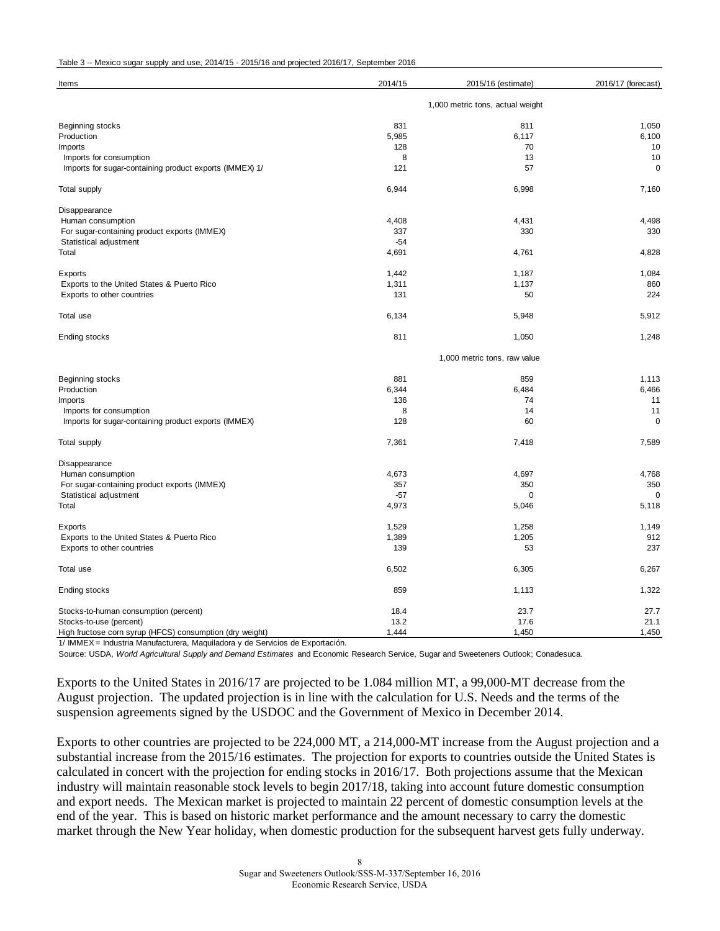| Items                                                    | 2014/15                          | 2015/16 (estimate) | 2016/17 (forecast) |  |  |  |
|----------------------------------------------------------|----------------------------------|--------------------|--------------------|--|--|--|
|                                                          | 1,000 metric tons, actual weight |                    |                    |  |  |  |
| Beginning stocks                                         | 831                              | 811                | 1,050              |  |  |  |
| Production                                               | 5,985                            | 6,117              | 6,100              |  |  |  |
| Imports                                                  | 128                              | 70                 | 10                 |  |  |  |
| Imports for consumption                                  | 8                                | 13                 | 10                 |  |  |  |
| Imports for sugar-containing product exports (IMMEX) 1/  | 121                              | 57                 | $\mathbf 0$        |  |  |  |
| Total supply                                             | 6,944                            | 6,998              | 7,160              |  |  |  |
| Disappearance                                            |                                  |                    |                    |  |  |  |
| Human consumption                                        | 4,408                            | 4,431              | 4,498              |  |  |  |
| For sugar-containing product exports (IMMEX)             | 337                              | 330                | 330                |  |  |  |
| Statistical adjustment                                   | $-54$                            |                    |                    |  |  |  |
| Total                                                    | 4,691                            | 4,761              | 4,828              |  |  |  |
| Exports                                                  | 1,442                            | 1,187              | 1,084              |  |  |  |
| Exports to the United States & Puerto Rico               | 1,311                            | 1,137              | 860                |  |  |  |
| Exports to other countries                               | 131                              | 50                 | 224                |  |  |  |
| Total use                                                | 6,134                            | 5,948              | 5,912              |  |  |  |
| Ending stocks                                            | 811                              | 1,050              | 1,248              |  |  |  |
|                                                          | 1,000 metric tons, raw value     |                    |                    |  |  |  |
| Beginning stocks                                         | 881                              | 859                | 1,113              |  |  |  |
| Production                                               | 6,344                            | 6,484              | 6,466              |  |  |  |
| Imports                                                  | 136                              | 74                 | 11                 |  |  |  |
| Imports for consumption                                  | 8                                | 14                 | 11                 |  |  |  |
| Imports for sugar-containing product exports (IMMEX)     | 128                              | 60                 | $\mathbf 0$        |  |  |  |
| <b>Total supply</b>                                      | 7,361                            | 7,418              | 7,589              |  |  |  |
| Disappearance                                            |                                  |                    |                    |  |  |  |
| Human consumption                                        | 4,673                            | 4,697              | 4,768              |  |  |  |
| For sugar-containing product exports (IMMEX)             | 357                              | 350                | 350                |  |  |  |
| Statistical adjustment                                   | $-57$                            | 0                  | 0                  |  |  |  |
| Total                                                    | 4,973                            | 5,046              | 5,118              |  |  |  |
| Exports                                                  | 1,529                            | 1,258              | 1,149              |  |  |  |
| Exports to the United States & Puerto Rico               | 1,389                            | 1,205              | 912                |  |  |  |
| Exports to other countries                               | 139                              | 53                 | 237                |  |  |  |
| Total use                                                | 6,502                            | 6,305              | 6,267              |  |  |  |
| Ending stocks                                            | 859                              | 1,113              | 1,322              |  |  |  |
| Stocks-to-human consumption (percent)                    | 18.4                             | 23.7               | 27.7               |  |  |  |
| Stocks-to-use (percent)                                  | 13.2                             | 17.6               | 21.1               |  |  |  |
| High fructose corn syrup (HFCS) consumption (dry weight) | 1,444                            | 1,450              | 1,450              |  |  |  |

1/ IMMEX = Industria Manufacturera, Maquiladora y de Servicios de Exportación.

Source: USDA, *World Agricultural Supply and Demand Estimates* and Economic Research Service, Sugar and Sweeteners Outlook; Conadesuca.

Exports to the United States in 2016/17 are projected to be 1.084 million MT, a 99,000-MT decrease from the August projection. The updated projection is in line with the calculation for U.S. Needs and the terms of the suspension agreements signed by the USDOC and the Government of Mexico in December 2014.

Exports to other countries are projected to be 224,000 MT, a 214,000-MT increase from the August projection and a substantial increase from the 2015/16 estimates. The projection for exports to countries outside the United States is calculated in concert with the projection for ending stocks in 2016/17. Both projections assume that the Mexican industry will maintain reasonable stock levels to begin 2017/18, taking into account future domestic consumption and export needs. The Mexican market is projected to maintain 22 percent of domestic consumption levels at the end of the year. This is based on historic market performance and the amount necessary to carry the domestic market through the New Year holiday, when domestic production for the subsequent harvest gets fully underway.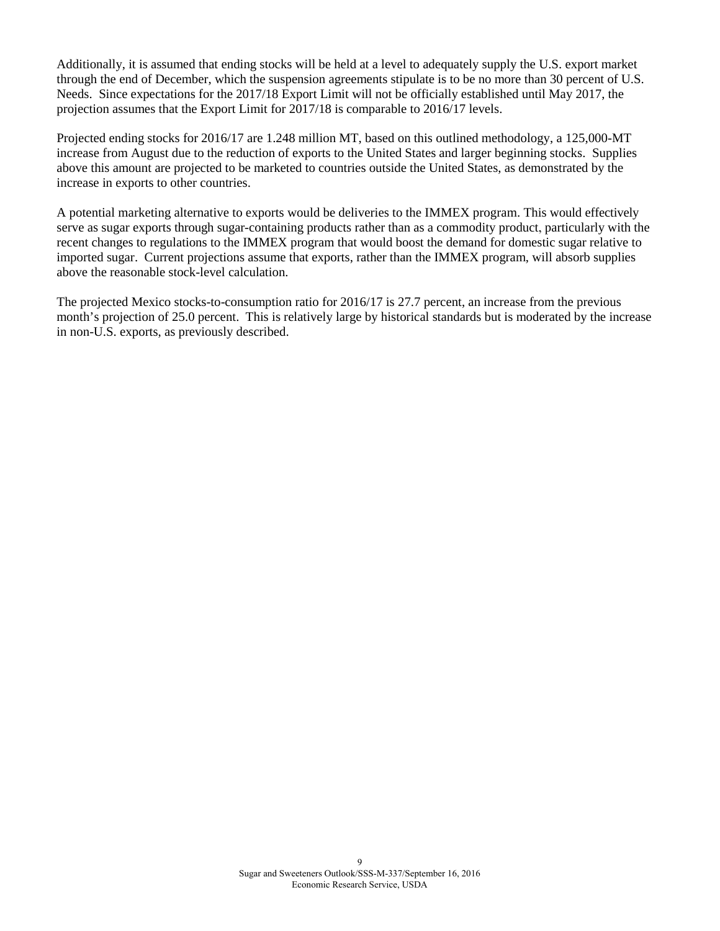Additionally, it is assumed that ending stocks will be held at a level to adequately supply the U.S. export market through the end of December, which the suspension agreements stipulate is to be no more than 30 percent of U.S. Needs. Since expectations for the 2017/18 Export Limit will not be officially established until May 2017, the projection assumes that the Export Limit for 2017/18 is comparable to 2016/17 levels.

Projected ending stocks for 2016/17 are 1.248 million MT, based on this outlined methodology, a 125,000-MT increase from August due to the reduction of exports to the United States and larger beginning stocks. Supplies above this amount are projected to be marketed to countries outside the United States, as demonstrated by the increase in exports to other countries.

A potential marketing alternative to exports would be deliveries to the IMMEX program. This would effectively serve as sugar exports through sugar-containing products rather than as a commodity product, particularly with the recent changes to regulations to the IMMEX program that would boost the demand for domestic sugar relative to imported sugar. Current projections assume that exports, rather than the IMMEX program, will absorb supplies above the reasonable stock-level calculation.

The projected Mexico stocks-to-consumption ratio for 2016/17 is 27.7 percent, an increase from the previous month's projection of 25.0 percent. This is relatively large by historical standards but is moderated by the increase in non-U.S. exports, as previously described.